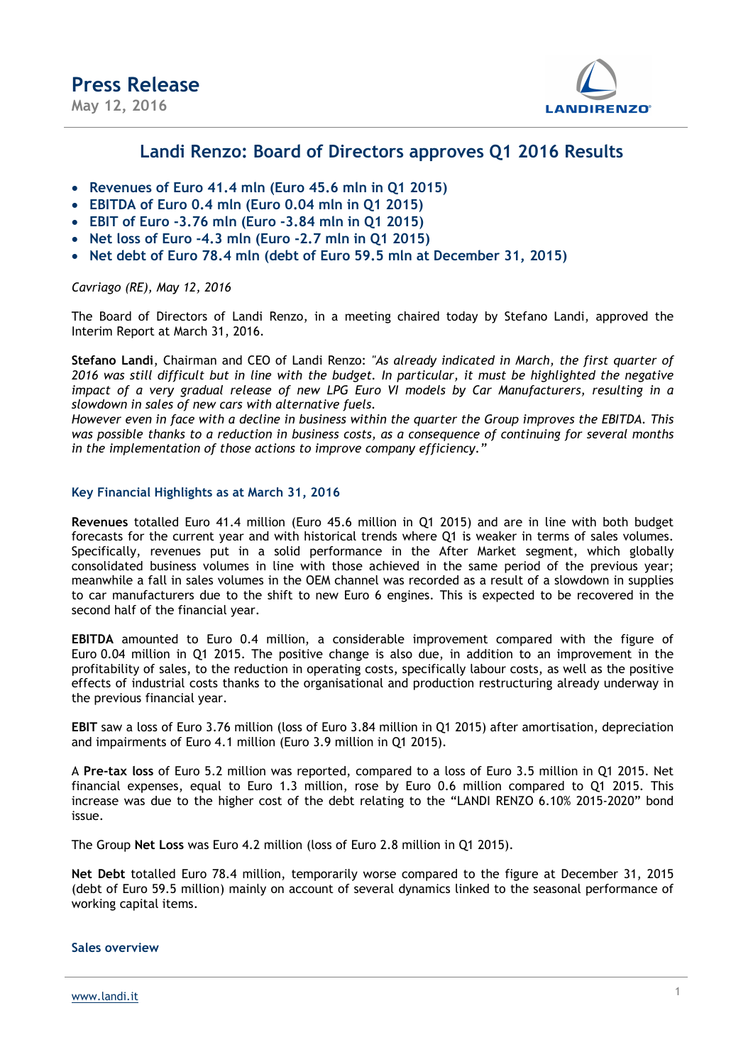

### Landi Renzo: Board of Directors approves Q1 2016 Results

- Revenues of Euro 41.4 mln (Euro 45.6 mln in Q1 2015)
- EBITDA of Euro 0.4 mln (Euro 0.04 mln in Q1 2015)
- EBIT of Euro -3.76 mln (Euro -3.84 mln in Q1 2015)
- Net loss of Euro -4.3 mln (Euro -2.7 mln in Q1 2015)
- Net debt of Euro 78.4 mln (debt of Euro 59.5 mln at December 31, 2015)

Cavriago (RE), May 12, 2016

The Board of Directors of Landi Renzo, in a meeting chaired today by Stefano Landi, approved the Interim Report at March 31, 2016.

Stefano Landi, Chairman and CEO of Landi Renzo: "As already indicated in March, the first quarter of 2016 was still difficult but in line with the budget. In particular, it must be highlighted the negative impact of a very gradual release of new LPG Euro VI models by Car Manufacturers, resulting in a slowdown in sales of new cars with alternative fuels.

However even in face with a decline in business within the quarter the Group improves the EBITDA. This was possible thanks to a reduction in business costs, as a consequence of continuing for several months in the implementation of those actions to improve company efficiency."

### Key Financial Highlights as at March 31, 2016

Revenues totalled Euro 41.4 million (Euro 45.6 million in Q1 2015) and are in line with both budget forecasts for the current year and with historical trends where Q1 is weaker in terms of sales volumes. Specifically, revenues put in a solid performance in the After Market segment, which globally consolidated business volumes in line with those achieved in the same period of the previous year; meanwhile a fall in sales volumes in the OEM channel was recorded as a result of a slowdown in supplies to car manufacturers due to the shift to new Euro 6 engines. This is expected to be recovered in the second half of the financial year.

EBITDA amounted to Euro 0.4 million, a considerable improvement compared with the figure of Euro 0.04 million in Q1 2015. The positive change is also due, in addition to an improvement in the profitability of sales, to the reduction in operating costs, specifically labour costs, as well as the positive effects of industrial costs thanks to the organisational and production restructuring already underway in the previous financial year.

EBIT saw a loss of Euro 3.76 million (loss of Euro 3.84 million in Q1 2015) after amortisation, depreciation and impairments of Euro 4.1 million (Euro 3.9 million in Q1 2015).

A Pre-tax loss of Euro 5.2 million was reported, compared to a loss of Euro 3.5 million in Q1 2015. Net financial expenses, equal to Euro 1.3 million, rose by Euro 0.6 million compared to Q1 2015. This increase was due to the higher cost of the debt relating to the "LANDI RENZO 6.10% 2015-2020" bond issue.

The Group Net Loss was Euro 4.2 million (loss of Euro 2.8 million in Q1 2015).

Net Debt totalled Euro 78.4 million, temporarily worse compared to the figure at December 31, 2015 (debt of Euro 59.5 million) mainly on account of several dynamics linked to the seasonal performance of working capital items.

#### Sales overview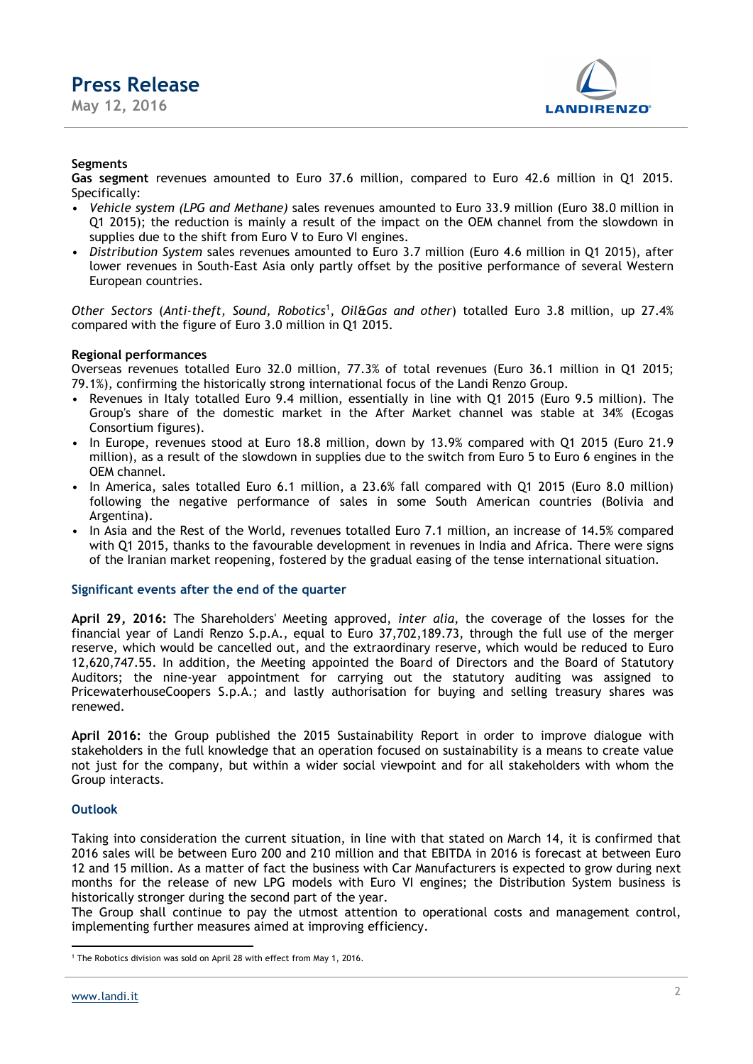May 12, 2016



### Segments

Gas segment revenues amounted to Euro 37.6 million, compared to Euro 42.6 million in Q1 2015. Specifically:

- Vehicle system (LPG and Methane) sales revenues amounted to Euro 33.9 million (Euro 38.0 million in Q1 2015); the reduction is mainly a result of the impact on the OEM channel from the slowdown in supplies due to the shift from Euro V to Euro VI engines.
- Distribution System sales revenues amounted to Euro 3.7 million (Euro 4.6 million in Q1 2015), after lower revenues in South-East Asia only partly offset by the positive performance of several Western European countries.

Other Sectors (Anti-theft, Sound, Robotics<sup>1</sup>, Oil&Gas and other) totalled Euro 3.8 million, up 27.4% compared with the figure of Euro 3.0 million in Q1 2015.

#### Regional performances

Overseas revenues totalled Euro 32.0 million, 77.3% of total revenues (Euro 36.1 million in Q1 2015; 79.1%), confirming the historically strong international focus of the Landi Renzo Group.

- Revenues in Italy totalled Euro 9.4 million, essentially in line with Q1 2015 (Euro 9.5 million). The Group's share of the domestic market in the After Market channel was stable at 34% (Ecogas Consortium figures).
- In Europe, revenues stood at Euro 18.8 million, down by 13.9% compared with Q1 2015 (Euro 21.9 million), as a result of the slowdown in supplies due to the switch from Euro 5 to Euro 6 engines in the OEM channel.
- In America, sales totalled Euro 6.1 million, a 23.6% fall compared with Q1 2015 (Euro 8.0 million) following the negative performance of sales in some South American countries (Bolivia and Argentina).
- In Asia and the Rest of the World, revenues totalled Euro 7.1 million, an increase of 14.5% compared with Q1 2015, thanks to the favourable development in revenues in India and Africa. There were signs of the Iranian market reopening, fostered by the gradual easing of the tense international situation.

### Significant events after the end of the quarter

April 29, 2016: The Shareholders' Meeting approved, inter alia, the coverage of the losses for the financial year of Landi Renzo S.p.A., equal to Euro 37,702,189.73, through the full use of the merger reserve, which would be cancelled out, and the extraordinary reserve, which would be reduced to Euro 12,620,747.55. In addition, the Meeting appointed the Board of Directors and the Board of Statutory Auditors; the nine-year appointment for carrying out the statutory auditing was assigned to PricewaterhouseCoopers S.p.A.; and lastly authorisation for buying and selling treasury shares was renewed.

April 2016: the Group published the 2015 Sustainability Report in order to improve dialogue with stakeholders in the full knowledge that an operation focused on sustainability is a means to create value not just for the company, but within a wider social viewpoint and for all stakeholders with whom the Group interacts.

#### **Outlook**

Taking into consideration the current situation, in line with that stated on March 14, it is confirmed that 2016 sales will be between Euro 200 and 210 million and that EBITDA in 2016 is forecast at between Euro 12 and 15 million. As a matter of fact the business with Car Manufacturers is expected to grow during next months for the release of new LPG models with Euro VI engines; the Distribution System business is historically stronger during the second part of the year.

The Group shall continue to pay the utmost attention to operational costs and management control, implementing further measures aimed at improving efficiency.

<sup>-</sup>1 The Robotics division was sold on April 28 with effect from May 1, 2016.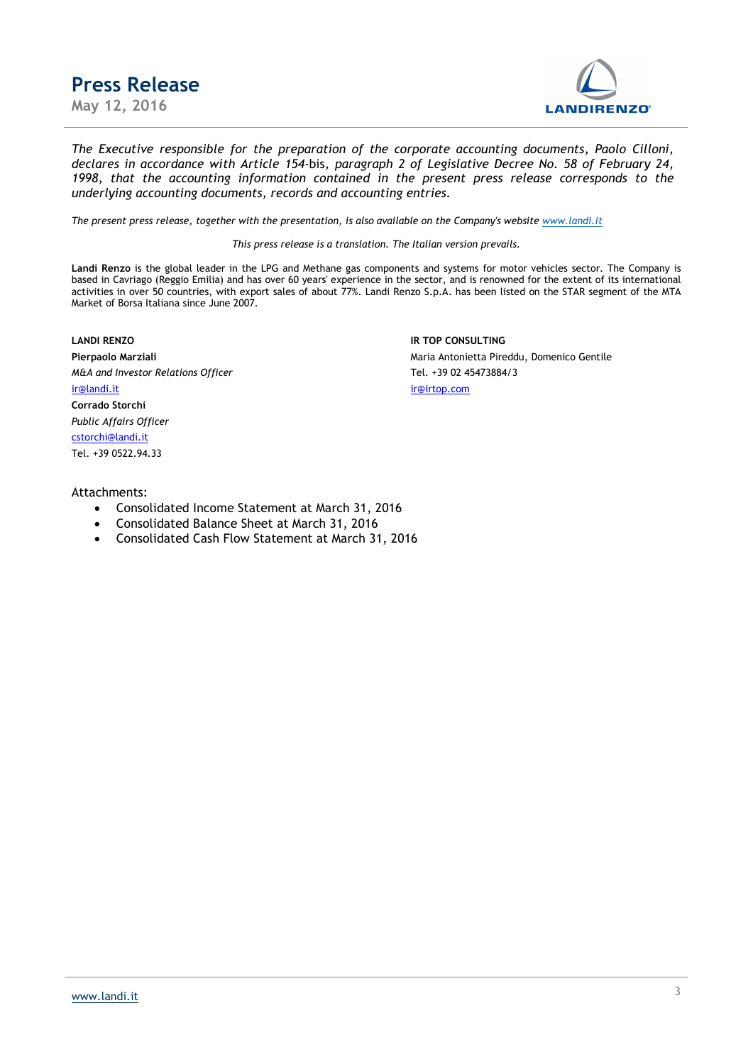May 12, 2016



The Executive responsible for the preparation of the corporate accounting documents, Paolo Cilloni, declares in accordance with Article 154-bis, paragraph 2 of Legislative Decree No. 58 of February 24, 1998, that the accounting information contained in the present press release corresponds to the underlying accounting documents, records and accounting entries.

The present press release, together with the presentation, is also available on the Company's website www.landi.it

This press release is a translation. The Italian version prevails.

Landi Renzo is the global leader in the LPG and Methane gas components and systems for motor vehicles sector. The Company is based in Cavriago (Reggio Emilia) and has over 60 years' experience in the sector, and is renowned for the extent of its international activities in over 50 countries, with export sales of about 77%. Landi Renzo S.p.A. has been listed on the STAR segment of the MTA Market of Borsa Italiana since June 2007.

LANDI RENZO **IR TOP CONSULTING** M&A and Investor Relations Officer Tel. +39 02 45473884/3 ir@landi.it ir@irtop.com Corrado Storchi Public Affairs Officer

Pierpaolo Marziali **Maria Antonietta Pireddu, Domenico Gentile** 

Attachments:

cstorchi@landi.it Tel. +39 0522.94.33

- Consolidated Income Statement at March 31, 2016
- Consolidated Balance Sheet at March 31, 2016
- Consolidated Cash Flow Statement at March 31, 2016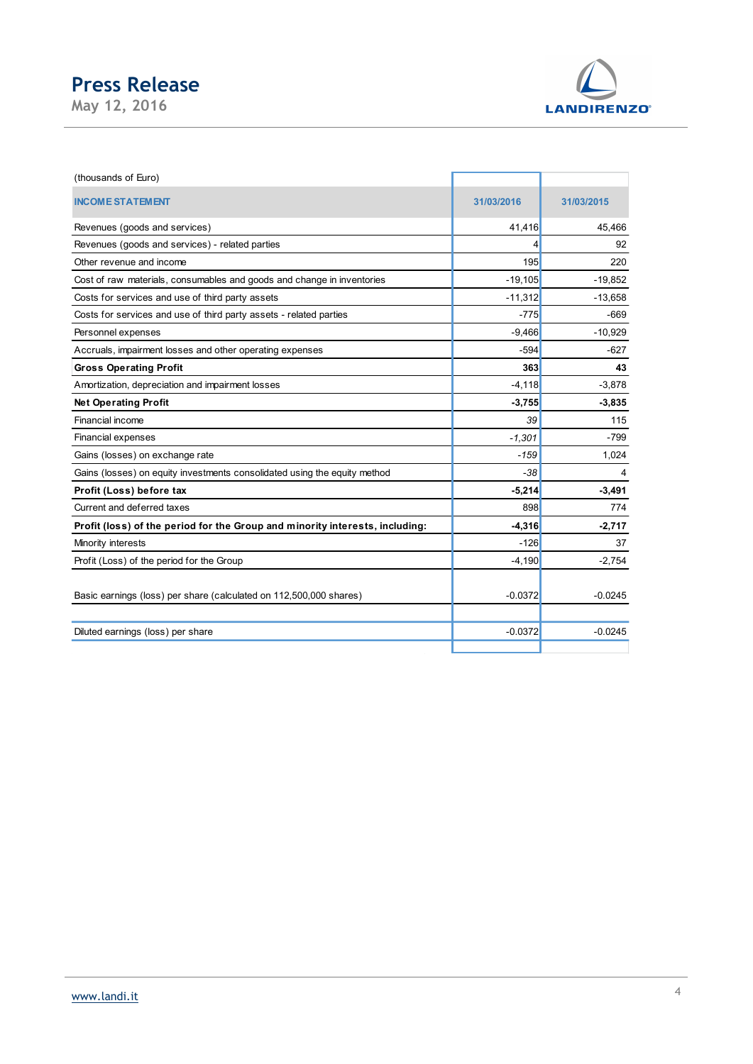

| <b>Press Release</b>                                                         |            |                    |
|------------------------------------------------------------------------------|------------|--------------------|
| May 12, 2016                                                                 |            | <b>LANDIRENZO®</b> |
|                                                                              |            |                    |
| (thousands of Euro)                                                          |            |                    |
| <b>INCOME STATEMENT</b>                                                      | 31/03/2016 | 31/03/2015         |
| Revenues (goods and services)                                                | 41,416     | 45,466             |
| Revenues (goods and services) - related parties                              |            | 92                 |
| Other revenue and income                                                     | 195        | 220                |
| Cost of raw materials, consumables and goods and change in inventories       | $-19,105$  | $-19,852$          |
| Costs for services and use of third party assets                             | $-11,312$  | $-13,658$          |
| Costs for services and use of third party assets - related parties           | $-775$     | $-669$             |
| Personnel expenses                                                           | $-9,466$   | $-10,929$          |
| Accruals, impairment losses and other operating expenses                     | $-594$     | $-627$             |
| <b>Gross Operating Profit</b>                                                | 363        | 43                 |
| Amortization, depreciation and impairment losses                             | $-4,118$   | $-3,878$           |
| <b>Net Operating Profit</b>                                                  | $-3,755$   | $-3,835$           |
| Financial income                                                             | 39         | 115                |
| Financial expenses                                                           | $-1,301$   | $-799$             |
| Gains (losses) on exchange rate                                              | $-159$     | 1,024              |
| Gains (losses) on equity investments consolidated using the equity method    | $-38$      | $\overline{a}$     |
| Profit (Loss) before tax                                                     | $-5,214$   | $-3,491$           |
| Current and deferred taxes                                                   | 898        | 774                |
| Profit (loss) of the period for the Group and minority interests, including: | $-4,316$   | $-2,717$           |
| Minority interests                                                           | $-126$     | 37                 |
| Profit (Loss) of the period for the Group                                    | $-4,190$   | $-2,754$           |
| Basic earnings (loss) per share (calculated on 112,500,000 shares)           | $-0.0372$  | $-0.0245$          |
| Diluted earnings (loss) per share                                            | $-0.0372$  | $-0.0245$          |
|                                                                              |            |                    |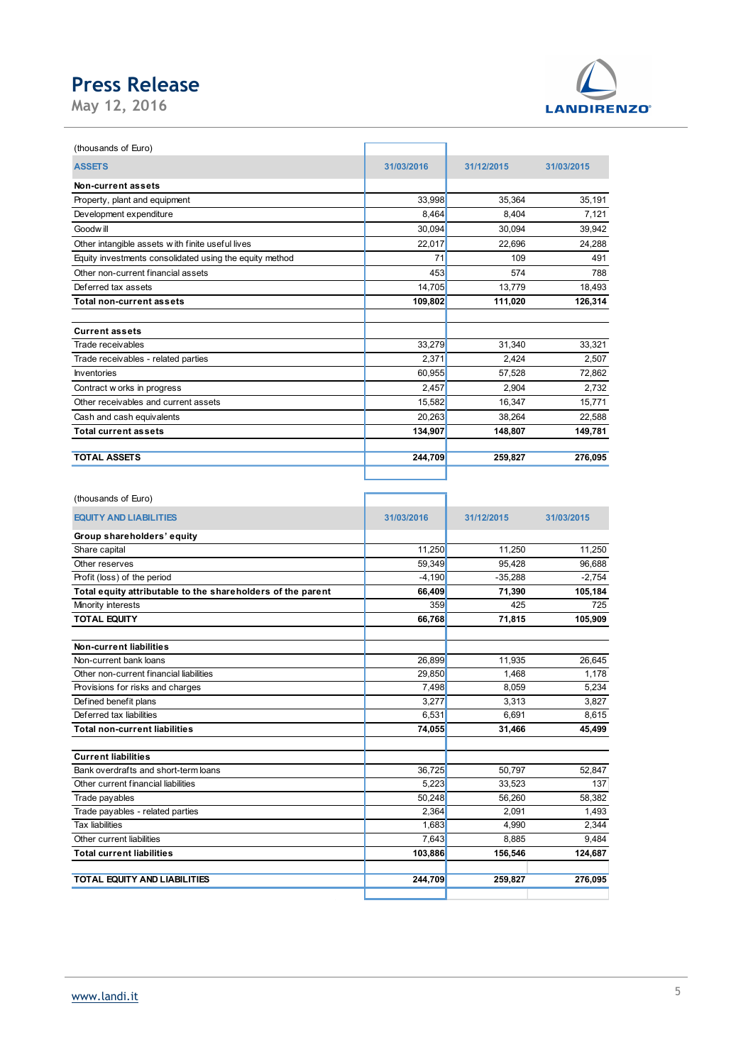

| <b>Press Release</b>                                                |                   |                   |                    |
|---------------------------------------------------------------------|-------------------|-------------------|--------------------|
| May 12, 2016                                                        |                   |                   |                    |
|                                                                     |                   |                   | <b>LANDIRENZO®</b> |
| (thousands of Euro)                                                 |                   |                   |                    |
| <b>ASSETS</b>                                                       | 31/03/2016        | 31/12/2015        | 31/03/2015         |
|                                                                     |                   |                   |                    |
| Non-current assets                                                  |                   |                   |                    |
| Property, plant and equipment                                       | 33,998            | 35,364            | 35,191             |
| Development expenditure                                             | 8,464             | 8,404             | 7,121              |
| Goodwill                                                            | 30,094            | 30,094            | 39,942             |
| Other intangible assets with finite useful lives                    | 22,017            | 22,696            | 24,288             |
| Equity investments consolidated using the equity method             | 71                | 109               | 491                |
| Other non-current financial assets<br>Deferred tax assets           | 453               | 574               | 788                |
| <b>Total non-current assets</b>                                     | 14,705<br>109,802 | 13,779<br>111,020 | 18,493<br>126,314  |
|                                                                     |                   |                   |                    |
|                                                                     |                   |                   |                    |
| <b>Current assets</b><br>Trade receivables                          | 33,279            | 31,340            | 33,321             |
| Trade receivables - related parties                                 | 2,371             | 2,424             | 2,507              |
| Inventories                                                         | 60,955            | 57,528            | 72,862             |
|                                                                     | 2,457             | 2,904             | 2,732              |
| Contract w orks in progress<br>Other receivables and current assets | 15,582            | 16,347            | 15,771             |
| Cash and cash equivalents                                           | 20,263            | 38,264            | 22,588             |
| <b>Total current assets</b>                                         | 134,907           | 148,807           | 149,781            |
|                                                                     |                   |                   |                    |
| <b>TOTAL ASSETS</b>                                                 | 244,709           | 259,827           | 276,095            |
|                                                                     |                   |                   |                    |
| (thousands of Euro)                                                 |                   |                   |                    |
| <b>EQUITY AND LIABILITIES</b>                                       | 31/03/2016        | 31/12/2015        | 31/03/2015         |
|                                                                     |                   |                   |                    |
| Group shareholders' equity<br>Share capital                         | 11,250            | 11,250            | 11,250             |
| Other reserves                                                      | 59,349            | 95,428            | 96,688             |
| Profit (loss) of the period                                         | $-4,190$          | $-35,288$         | $-2,754$           |
| Total equity attributable to the shareholders of the parent         | 66,409            | 71,390            | 105,184            |
| Minority interests                                                  | 359               | 425               | $\overline{725}$   |
| <b>TOTAL EQUITY</b>                                                 | 66,768            | 71,815            | 105,909            |
|                                                                     |                   |                   |                    |
| Non-current liabilities                                             |                   |                   |                    |
| Non-current bank loans                                              | 26,899            | 11,935            | 26,645             |
| Other non-current financial liabilities                             | 29,850            | 1,468<br>0.050    | 1,178<br>501       |
| Description of the status and all com-                              | 7.00              |                   |                    |

| Deferred tax assets                                         | 14,705     | 19,779     | 10,499     |
|-------------------------------------------------------------|------------|------------|------------|
| <b>Total non-current assets</b>                             | 109,802    | 111,020    | 126,314    |
|                                                             |            |            |            |
| <b>Current assets</b>                                       |            |            |            |
| Trade receivables                                           | 33,279     | 31,340     | 33,321     |
| Trade receivables - related parties                         | 2,371      | 2,424      | 2,507      |
| Inventories                                                 | 60,955     | 57,528     | 72,862     |
| Contract w orks in progress                                 | 2,457      | 2,904      | 2,732      |
| Other receivables and current assets                        | 15,582     | 16,347     | 15,771     |
|                                                             | 20,263     | 38,264     | 22,588     |
| Cash and cash equivalents                                   | 134,907    | 148,807    |            |
| <b>Total current assets</b>                                 |            |            | 149,781    |
| <b>TOTAL ASSETS</b>                                         | 244,709    | 259,827    | 276,095    |
|                                                             |            |            |            |
|                                                             |            |            |            |
| (thousands of Euro)                                         |            |            |            |
|                                                             |            |            |            |
| <b>EQUITY AND LIABILITIES</b>                               | 31/03/2016 | 31/12/2015 | 31/03/2015 |
| Group shareholders' equity                                  |            |            |            |
| Share capital                                               | 11,250     | 11,250     | 11,250     |
| Other reserves                                              | 59,349     | 95,428     | 96,688     |
| Profit (loss) of the period                                 | $-4,190$   | $-35,288$  | $-2,754$   |
| Total equity attributable to the shareholders of the parent | 66,409     | 71,390     | 105,184    |
| Minority interests                                          | 359        | 425        | 725        |
| <b>TOTAL EQUITY</b>                                         | 66,768     | 71,815     | 105,909    |
|                                                             |            |            |            |
| Non-current liabilities                                     |            |            |            |
| Non-current bank loans                                      | 26,899     | 11,935     | 26,645     |
| Other non-current financial liabilities                     | 29,850     | 1,468      | 1,178      |
| Provisions for risks and charges                            | 7,498      | 8,059      | 5,234      |
| Defined benefit plans                                       | 3,277      | 3,313      | 3,827      |
| Deferred tax liabilities                                    | 6,531      | 6,691      | 8,615      |
| <b>Total non-current liabilities</b>                        | 74,055     | 31,466     | 45,499     |
|                                                             |            |            |            |
| <b>Current liabilities</b>                                  |            |            |            |
| Bank overdrafts and short-term loans                        | 36,725     | 50,797     | 52,847     |
| Other current financial liabilities                         | 5,223      | 33,523     | 137        |
| Trade payables                                              | 50,248     | 56,260     | 58,382     |
| Trade payables - related parties                            | 2,364      | 2,091      | 1,493      |
| Tax liabilities                                             | 1,683      | 4,990      | 2,344      |
| Other current liabilities                                   | 7,643      | 8,885      | 9,484      |
| <b>Total current liabilities</b>                            | 103,886    | 156,546    | 124,687    |
|                                                             |            |            |            |
| TOTAL EQUITY AND LIABILITIES                                | 244,709    | 259,827    | 276,095    |
|                                                             |            |            |            |
|                                                             |            |            |            |
|                                                             |            |            |            |
|                                                             |            |            |            |
|                                                             |            |            |            |
|                                                             |            |            |            |